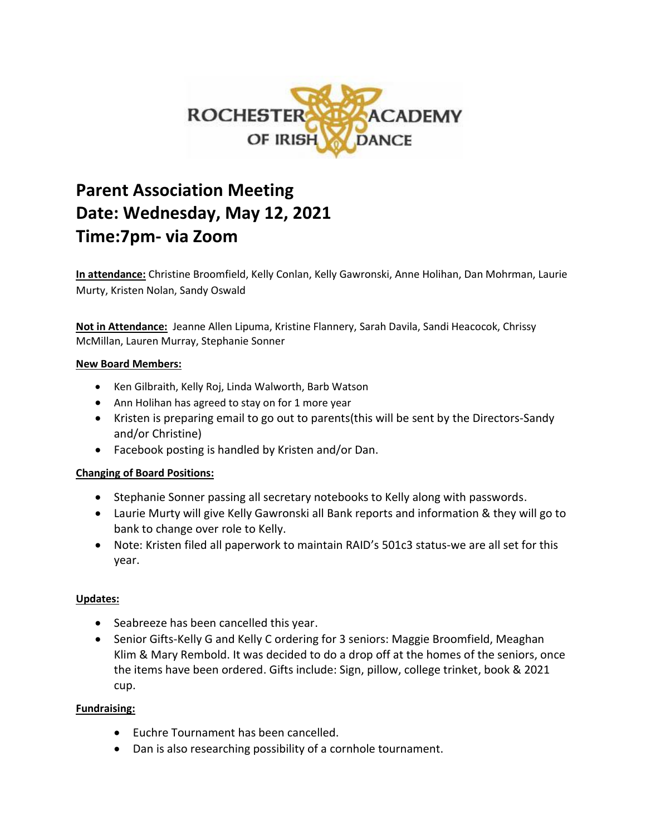

# **Parent Association Meeting Date: Wednesday, May 12, 2021 Time:7pm- via Zoom**

**In attendance:** Christine Broomfield, Kelly Conlan, Kelly Gawronski, Anne Holihan, Dan Mohrman, Laurie Murty, Kristen Nolan, Sandy Oswald

**Not in Attendance:** Jeanne Allen Lipuma, Kristine Flannery, Sarah Davila, Sandi Heacocok, Chrissy McMillan, Lauren Murray, Stephanie Sonner

#### **New Board Members:**

- Ken Gilbraith, Kelly Roj, Linda Walworth, Barb Watson
- Ann Holihan has agreed to stay on for 1 more year
- Kristen is preparing email to go out to parents(this will be sent by the Directors-Sandy and/or Christine)
- Facebook posting is handled by Kristen and/or Dan.

### **Changing of Board Positions:**

- Stephanie Sonner passing all secretary notebooks to Kelly along with passwords.
- Laurie Murty will give Kelly Gawronski all Bank reports and information & they will go to bank to change over role to Kelly.
- Note: Kristen filed all paperwork to maintain RAID's 501c3 status-we are all set for this year.

### **Updates:**

- Seabreeze has been cancelled this year.
- Senior Gifts-Kelly G and Kelly C ordering for 3 seniors: Maggie Broomfield, Meaghan Klim & Mary Rembold. It was decided to do a drop off at the homes of the seniors, once the items have been ordered. Gifts include: Sign, pillow, college trinket, book & 2021 cup.

#### **Fundraising:**

- Euchre Tournament has been cancelled.
- Dan is also researching possibility of a cornhole tournament.